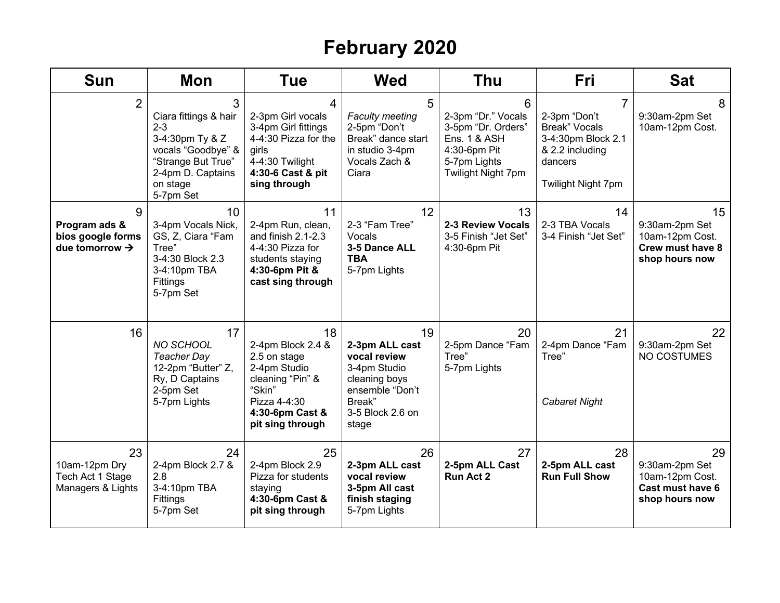## **February 2020**

| <b>Sun</b>                                                            | <b>Mon</b>                                                                                                                                         | <b>Tue</b>                                                                                                                                   | <b>Wed</b>                                                                                                                      | <b>Thu</b>                                                                                                                     | <b>Fri</b>                                                                                                          | <b>Sat</b>                                                                           |
|-----------------------------------------------------------------------|----------------------------------------------------------------------------------------------------------------------------------------------------|----------------------------------------------------------------------------------------------------------------------------------------------|---------------------------------------------------------------------------------------------------------------------------------|--------------------------------------------------------------------------------------------------------------------------------|---------------------------------------------------------------------------------------------------------------------|--------------------------------------------------------------------------------------|
| $\overline{2}$                                                        | 3<br>Ciara fittings & hair<br>$2 - 3$<br>3-4:30pm Ty & Z<br>vocals "Goodbye" &<br>"Strange But True"<br>2-4pm D. Captains<br>on stage<br>5-7pm Set | 4<br>2-3pm Girl vocals<br>3-4pm Girl fittings<br>4-4:30 Pizza for the<br>girls<br>4-4:30 Twilight<br>4:30-6 Cast & pit<br>sing through       | 5<br><b>Faculty meeting</b><br>2-5pm "Don't<br>Break" dance start<br>in studio 3-4pm<br>Vocals Zach &<br>Ciara                  | 6<br>2-3pm "Dr." Vocals<br>3-5pm "Dr. Orders"<br><b>Ens. 1 &amp; ASH</b><br>4:30-6pm Pit<br>5-7pm Lights<br>Twilight Night 7pm | 7<br>2-3pm "Don't<br><b>Break" Vocals</b><br>3-4:30pm Block 2.1<br>& 2.2 including<br>dancers<br>Twilight Night 7pm | 8<br>9:30am-2pm Set<br>10am-12pm Cost.                                               |
| 9<br>Program ads &<br>bios google forms<br>due tomorrow $\rightarrow$ | 10 <sup>°</sup><br>3-4pm Vocals Nick,<br>GS, Z, Ciara "Fam<br>Tree"<br>3-4:30 Block 2.3<br>3-4:10pm TBA<br>Fittings<br>5-7pm Set                   | 11<br>2-4pm Run, clean,<br>and finish 2.1-2.3<br>4-4:30 Pizza for<br>students staying<br>4:30-6pm Pit &<br>cast sing through                 | 12<br>2-3 "Fam Tree"<br>Vocals<br>3-5 Dance ALL<br><b>TBA</b><br>5-7pm Lights                                                   | 13<br>2-3 Review Vocals<br>3-5 Finish "Jet Set"<br>4:30-6pm Pit                                                                | 14<br>2-3 TBA Vocals<br>3-4 Finish "Jet Set"                                                                        | 15<br>9:30am-2pm Set<br>10am-12pm Cost.<br><b>Crew must have 8</b><br>shop hours now |
| 16                                                                    | 17<br>NO SCHOOL<br>Teacher Day<br>12-2pm "Butter" Z,<br>Ry, D Captains<br>2-5pm Set<br>5-7pm Lights                                                | 18<br>2-4pm Block 2.4 &<br>2.5 on stage<br>2-4pm Studio<br>cleaning "Pin" &<br>"Skin"<br>Pizza 4-4:30<br>4:30-6pm Cast &<br>pit sing through | 19<br>2-3pm ALL cast<br>vocal review<br>3-4pm Studio<br>cleaning boys<br>ensemble "Don't<br>Break"<br>3-5 Block 2.6 on<br>stage | 20<br>2-5pm Dance "Fam<br>Tree"<br>5-7pm Lights                                                                                | 21<br>2-4pm Dance "Fam<br>Tree"<br><b>Cabaret Night</b>                                                             | 22<br>9:30am-2pm Set<br><b>NO COSTUMES</b>                                           |
| 23<br>10am-12pm Dry<br>Tech Act 1 Stage<br>Managers & Lights          | 24<br>2-4pm Block 2.7 &<br>2.8<br>3-4:10pm TBA<br>Fittings<br>5-7pm Set                                                                            | 25<br>2-4pm Block 2.9<br>Pizza for students<br>staying<br>4:30-6pm Cast &<br>pit sing through                                                | 26<br>2-3pm ALL cast<br>vocal review<br>3-5pm All cast<br>finish staging<br>5-7pm Lights                                        | 27<br>2-5pm ALL Cast<br>Run Act 2                                                                                              | 28<br>2-5pm ALL cast<br><b>Run Full Show</b>                                                                        | 29<br>9:30am-2pm Set<br>10am-12pm Cost.<br>Cast must have 6<br>shop hours now        |